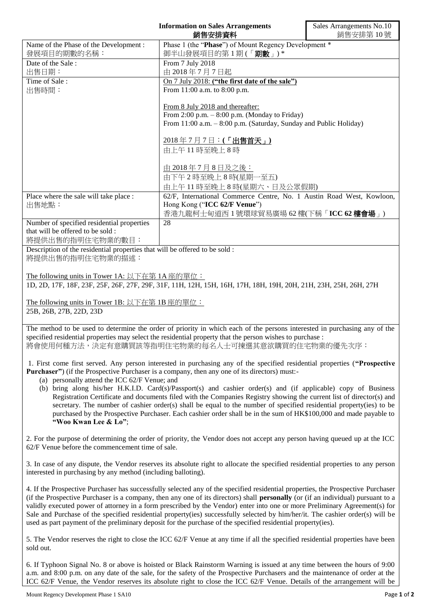|                                                                                                                                                                                                                                        | <b>Information on Sales Arrangements</b><br>銷售安排資料                                                                                                                                                                                             | Sales Arrangements No.10<br>銷售安排第10號 |
|----------------------------------------------------------------------------------------------------------------------------------------------------------------------------------------------------------------------------------------|------------------------------------------------------------------------------------------------------------------------------------------------------------------------------------------------------------------------------------------------|--------------------------------------|
| Name of the Phase of the Development :<br>發展項目的期數的名稱:                                                                                                                                                                                  | Phase 1 (the "Phase") of Mount Regency Development *<br>御半山發展項目的第1期(「期數」)*                                                                                                                                                                     |                                      |
| Date of the Sale:                                                                                                                                                                                                                      | From 7 July 2018                                                                                                                                                                                                                               |                                      |
| 出售日期:<br>Time of Sale:                                                                                                                                                                                                                 | 由 2018年7月7日起                                                                                                                                                                                                                                   |                                      |
| 出售時間:                                                                                                                                                                                                                                  | On 7 July 2018: ("the first date of the sale")<br>From 11:00 a.m. to 8:00 p.m.                                                                                                                                                                 |                                      |
|                                                                                                                                                                                                                                        |                                                                                                                                                                                                                                                |                                      |
|                                                                                                                                                                                                                                        | From 8 July 2018 and thereafter:<br>From $2:00$ p.m. $-8:00$ p.m. (Monday to Friday)                                                                                                                                                           |                                      |
|                                                                                                                                                                                                                                        | From 11:00 a.m. - 8:00 p.m. (Saturday, Sunday and Public Holiday)                                                                                                                                                                              |                                      |
|                                                                                                                                                                                                                                        | 2018年7月7日: (「出售首天」)                                                                                                                                                                                                                            |                                      |
|                                                                                                                                                                                                                                        | 由上午11時至晚上8時                                                                                                                                                                                                                                    |                                      |
|                                                                                                                                                                                                                                        | 由 2018年7月8日及之後:                                                                                                                                                                                                                                |                                      |
|                                                                                                                                                                                                                                        | 由下午2時至晚上8時(星期一至五)                                                                                                                                                                                                                              |                                      |
|                                                                                                                                                                                                                                        | 由上午11時至晚上8時(星期六、日及公眾假期)                                                                                                                                                                                                                        |                                      |
| Place where the sale will take place :                                                                                                                                                                                                 | 62/F, International Commerce Centre, No. 1 Austin Road West, Kowloon,                                                                                                                                                                          |                                      |
| 出售地點:                                                                                                                                                                                                                                  | Hong Kong ("ICC 62/F Venue")<br>香港九龍柯士甸道西1號環球貿易廣場 62樓(下稱「ICC 62樓會場」)                                                                                                                                                                           |                                      |
| Number of specified residential properties                                                                                                                                                                                             | 28                                                                                                                                                                                                                                             |                                      |
| that will be offered to be sold :<br>將提供出售的指明住宅物業的數目:                                                                                                                                                                                  |                                                                                                                                                                                                                                                |                                      |
| Description of the residential properties that will be offered to be sold :                                                                                                                                                            |                                                                                                                                                                                                                                                |                                      |
| 將提供出售的指明住宅物業的描述:                                                                                                                                                                                                                       |                                                                                                                                                                                                                                                |                                      |
| The following units in Tower 1A: 以下在第 1A 座的單位:                                                                                                                                                                                         |                                                                                                                                                                                                                                                |                                      |
|                                                                                                                                                                                                                                        | 1D, 2D, 17F, 18F, 23F, 25F, 26F, 27F, 29F, 31F, 11H, 12H, 15H, 16H, 17H, 18H, 19H, 20H, 21H, 23H, 25H, 26H, 27H                                                                                                                                |                                      |
| The following units in Tower 1B: 以下在第 1B 座的單位:                                                                                                                                                                                         |                                                                                                                                                                                                                                                |                                      |
| 25B, 26B, 27B, 22D, 23D                                                                                                                                                                                                                |                                                                                                                                                                                                                                                |                                      |
|                                                                                                                                                                                                                                        |                                                                                                                                                                                                                                                |                                      |
| The method to be used to determine the order of priority in which each of the persons interested in purchasing any of the<br>specified residential properties may select the residential property that the person wishes to purchase : |                                                                                                                                                                                                                                                |                                      |
|                                                                                                                                                                                                                                        | 將會使用何種方法,決定有意購買該等指明住宅物業的每名人士可揀選其意欲購買的住宅物業的優先次序:                                                                                                                                                                                                |                                      |
|                                                                                                                                                                                                                                        | 1. First come first served. Any person interested in purchasing any of the specified residential properties ("Prospective                                                                                                                      |                                      |
| <b>Purchaser</b> ") (if the Prospective Purchaser is a company, then any one of its directors) must:-                                                                                                                                  |                                                                                                                                                                                                                                                |                                      |
| (a) personally attend the ICC 62/F Venue; and<br>(b) bring along his/her H.K.I.D. Card(s)/Passport(s) and cashier order(s) and (if applicable) copy of Business                                                                        |                                                                                                                                                                                                                                                |                                      |
|                                                                                                                                                                                                                                        | Registration Certificate and documents filed with the Companies Registry showing the current list of director(s) and                                                                                                                           |                                      |
|                                                                                                                                                                                                                                        | secretary. The number of cashier order(s) shall be equal to the number of specified residential property(ies) to be                                                                                                                            |                                      |
| purchased by the Prospective Purchaser. Each cashier order shall be in the sum of HK\$100,000 and made payable to<br>"Woo Kwan Lee & Lo";                                                                                              |                                                                                                                                                                                                                                                |                                      |
|                                                                                                                                                                                                                                        |                                                                                                                                                                                                                                                |                                      |
| 62/F Venue before the commencement time of sale.                                                                                                                                                                                       | 2. For the purpose of determining the order of priority, the Vendor does not accept any person having queued up at the ICC                                                                                                                     |                                      |
|                                                                                                                                                                                                                                        | 3. In case of any dispute, the Vendor reserves its absolute right to allocate the specified residential properties to any person                                                                                                               |                                      |
| interested in purchasing by any method (including balloting).                                                                                                                                                                          |                                                                                                                                                                                                                                                |                                      |
|                                                                                                                                                                                                                                        | 4. If the Prospective Purchaser has successfully selected any of the specified residential properties, the Prospective Purchaser                                                                                                               |                                      |
|                                                                                                                                                                                                                                        | (if the Prospective Purchaser is a company, then any one of its directors) shall <b>personally</b> (or (if an individual) pursuant to a                                                                                                        |                                      |
| validly executed power of attorney in a form prescribed by the Vendor) enter into one or more Preliminary Agreement(s) for                                                                                                             |                                                                                                                                                                                                                                                |                                      |
|                                                                                                                                                                                                                                        | Sale and Purchase of the specified residential property(ies) successfully selected by him/her/it. The cashier order(s) will be<br>used as part payment of the preliminary deposit for the purchase of the specified residential property(ies). |                                      |
|                                                                                                                                                                                                                                        |                                                                                                                                                                                                                                                |                                      |
| sold out.                                                                                                                                                                                                                              | 5. The Vendor reserves the right to close the ICC 62/F Venue at any time if all the specified residential properties have been                                                                                                                 |                                      |

6. If Typhoon Signal No. 8 or above is hoisted or Black Rainstorm Warning is issued at any time between the hours of 9:00 a.m. and 8:00 p.m. on any date of the sale, for the safety of the Prospective Purchasers and the maintenance of order at the ICC 62/F Venue, the Vendor reserves its absolute right to close the ICC 62/F Venue. Details of the arrangement will be